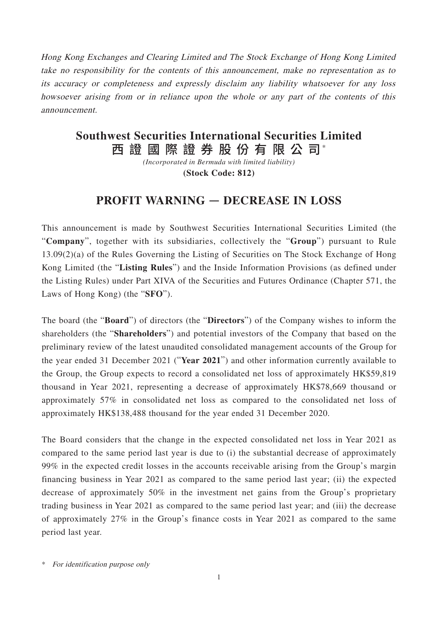Hong Kong Exchanges and Clearing Limited and The Stock Exchange of Hong Kong Limited take no responsibility for the contents of this announcement, make no representation as to its accuracy or completeness and expressly disclaim any liability whatsoever for any loss howsoever arising from or in reliance upon the whole or any part of the contents of this announcement.

## 西 證 國 際 證 券 股 份 有 限 公 司\* **Southwest Securities International Securities Limited**

*(Incorporated in Bermuda with limited liability)* **(Stock Code: 812)**

## **PROFIT WARNING** — **DECREASE IN LOSS**

This announcement is made by Southwest Securities International Securities Limited (the "**Company**", together with its subsidiaries, collectively the "**Group**") pursuant to Rule 13.09(2)(a) of the Rules Governing the Listing of Securities on The Stock Exchange of Hong Kong Limited (the "**Listing Rules**") and the Inside Information Provisions (as defined under the Listing Rules) under Part XIVA of the Securities and Futures Ordinance (Chapter 571, the Laws of Hong Kong) (the "**SFO**").

The board (the "**Board**") of directors (the "**Directors**") of the Company wishes to inform the shareholders (the "**Shareholders**") and potential investors of the Company that based on the preliminary review of the latest unaudited consolidated management accounts of the Group for the year ended 31 December 2021 ("**Year 2021**") and other information currently available to the Group, the Group expects to record a consolidated net loss of approximately HK\$59,819 thousand in Year 2021, representing a decrease of approximately HK\$78,669 thousand or approximately 57% in consolidated net loss as compared to the consolidated net loss of approximately HK\$138,488 thousand for the year ended 31 December 2020.

The Board considers that the change in the expected consolidated net loss in Year 2021 as compared to the same period last year is due to (i) the substantial decrease of approximately 99% in the expected credit losses in the accounts receivable arising from the Group's margin financing business in Year 2021 as compared to the same period last year; (ii) the expected decrease of approximately 50% in the investment net gains from the Group's proprietary trading business in Year 2021 as compared to the same period last year; and (iii) the decrease of approximately 27% in the Group's finance costs in Year 2021 as compared to the same period last year.

\* For identification purpose only